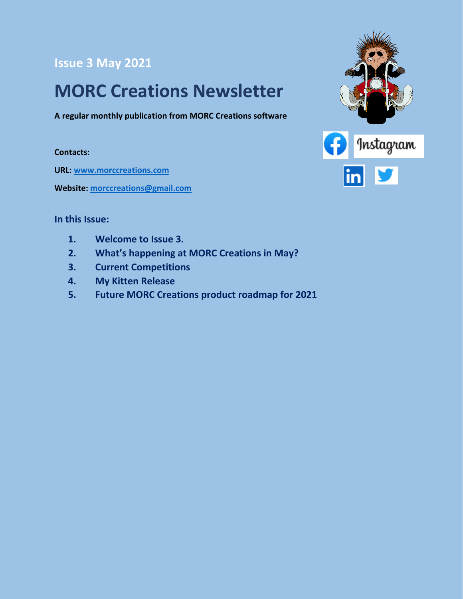#### **Issue 3 May 2021**

### **MORC Creations Newsletter**

**A regular monthly publication from MORC Creations software**

**Contacts:**

**URL: [www.morccreations.com](http://www.morccreations.com/)**

**Website: [morccreations@gmail.com](mailto:morccreations@gmail.com)**



#### **In this Issue:**

- **1. Welcome to Issue 3.**
- **2. What's happening at MORC Creations in May?**
- **3. Current Competitions**
- **4. My Kitten Release**
- **5. Future MORC Creations product roadmap for 2021**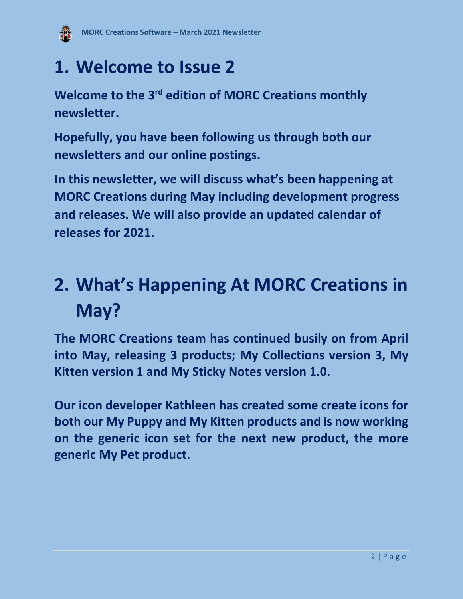

### **1. Welcome to Issue 2**

**Welcome to the 3<sup>rd</sup> edition of MORC Creations monthly newsletter.**

**Hopefully, you have been following us through both our newsletters and our online postings.**

**In this newsletter, we will discuss what's been happening at MORC Creations during May including development progress and releases. We will also provide an updated calendar of releases for 2021.**

# **2. What's Happening At MORC Creations in May?**

**The MORC Creations team has continued busily on from April into May, releasing 3 products; My Collections version 3, My Kitten version 1 and My Sticky Notes version 1.0.** 

**Our icon developer Kathleen has created some create icons for both our My Puppy and My Kitten products and is now working on the generic icon set for the next new product, the more generic My Pet product.**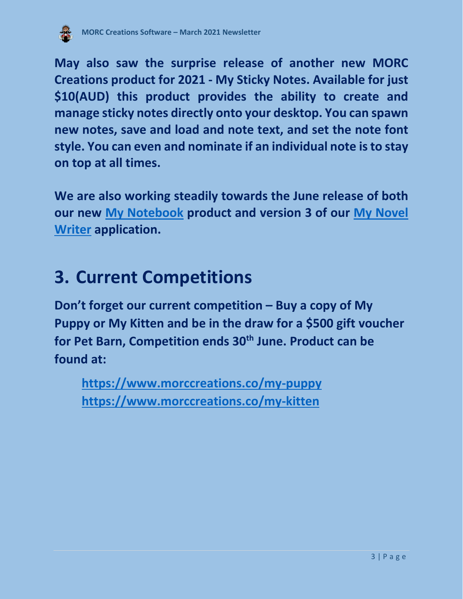

**May also saw the surprise release of another new MORC Creations product for 2021 - My Sticky Notes. Available for just \$10(AUD) this product provides the ability to create and manage sticky notes directly onto your desktop. You can spawn new notes, save and load and note text, and set the note font style. You can even and nominate if an individual note is to stay on top at all times.**

**We are also working steadily towards the June release of both our new [My Notebook](https://www.morccreations.co/my-notebook) product and version 3 of our [My Novel](https://www.morccreations.co/my-novel-writer)  [Writer](https://www.morccreations.co/my-novel-writer) application.**

### **3. Current Competitions**

**Don't forget our current competition – Buy a copy of My Puppy or My Kitten and be in the draw for a \$500 gift voucher for Pet Barn, Competition ends 30th June. Product can be found at:**

**<https://www.morccreations.co/my-puppy> <https://www.morccreations.co/my-kitten>**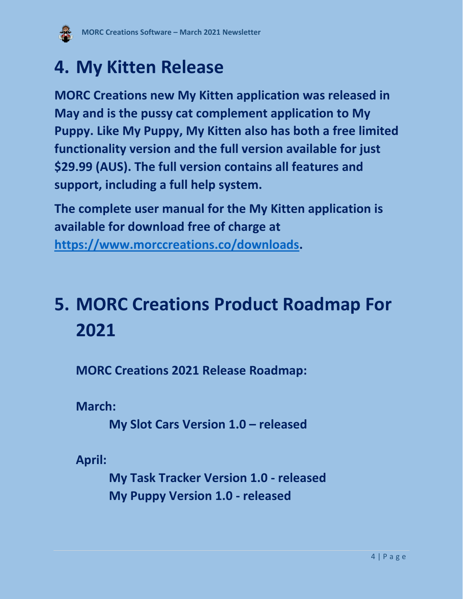

### **4. My Kitten Release**

**MORC Creations new My Kitten application was released in May and is the pussy cat complement application to My Puppy. Like My Puppy, My Kitten also has both a free limited functionality version and the full version available for just \$29.99 (AUS). The full version contains all features and support, including a full help system.** 

**The complete user manual for the My Kitten application is available for download free of charge at** 

**[https://www.morccreations.co/downloads.](https://www.morccreations.co/downloads)**

## **5. MORC Creations Product Roadmap For 2021**

**MORC Creations 2021 Release Roadmap:**

**March:**

**My Slot Cars Version 1.0 – released**

**April:**

**My Task Tracker Version 1.0 - released My Puppy Version 1.0 - released**